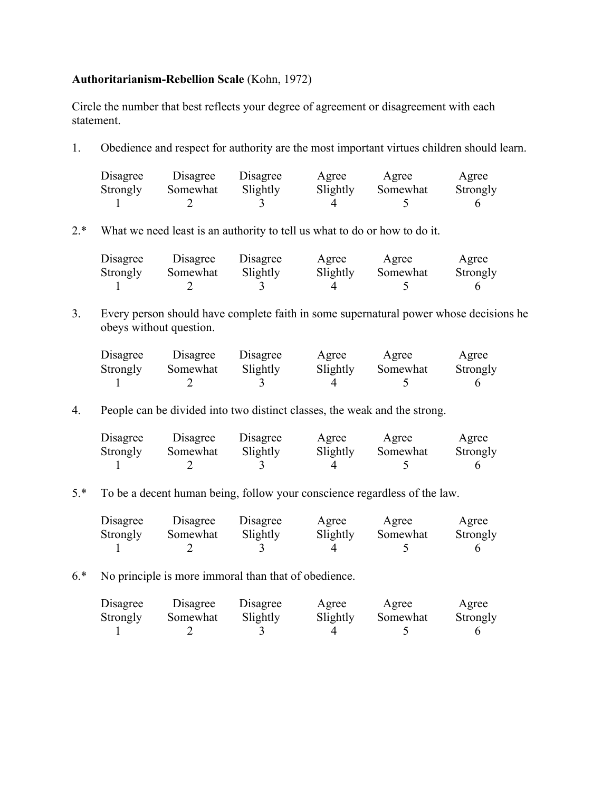#### **Authoritarianism-Rebellion Scale** (Kohn, 1972)

Circle the number that best reflects your degree of agreement or disagreement with each statement.

1. Obedience and respect for authority are the most important virtues children should learn.

| Disagree | Disagree | Disagree | Agree    | Agree    | Agree    |
|----------|----------|----------|----------|----------|----------|
| Strongly | Somewhat | Slightly | Slightly | Somewhat | Strongly |
|          |          |          |          |          |          |

2.\* What we need least is an authority to tell us what to do or how to do it.

| Disagree | Disagree<br>Somewhat | Disagree | Agree<br>Slightly | Agree<br>Somewhat | Agree    |
|----------|----------------------|----------|-------------------|-------------------|----------|
| Strongly |                      | Slightly |                   |                   | Strongly |
|          |                      |          |                   |                   |          |

3. Every person should have complete faith in some supernatural power whose decisions he obeys without question.

| Disagree | Disagree | Disagree | Agree    | Agree    | Agree    |
|----------|----------|----------|----------|----------|----------|
| Strongly | Somewhat | Slightly | Slightly | Somewhat | Strongly |
|          |          |          |          |          |          |

4. People can be divided into two distinct classes, the weak and the strong.

| Disagree | Disagree | Disagree | Agree    | Agree    | Agree    |
|----------|----------|----------|----------|----------|----------|
| Strongly | Somewhat | Slightly | Slightly | Somewhat | Strongly |
|          |          |          |          |          |          |

5.\* To be a decent human being, follow your conscience regardless of the law.

| Disagree | Disagree | Disagree | Agree    | Agree    | Agree    |
|----------|----------|----------|----------|----------|----------|
| Strongly | Somewhat | Slightly | Slightly | Somewhat | Strongly |
|          |          |          |          |          |          |

6.\* No principle is more immoral than that of obedience.

| Disagree | Disagree | Disagree | Agree    | Agree    | Agree    |
|----------|----------|----------|----------|----------|----------|
| Strongly | Somewhat | Slightly | Slightly | Somewhat | Strongly |
|          |          |          |          |          |          |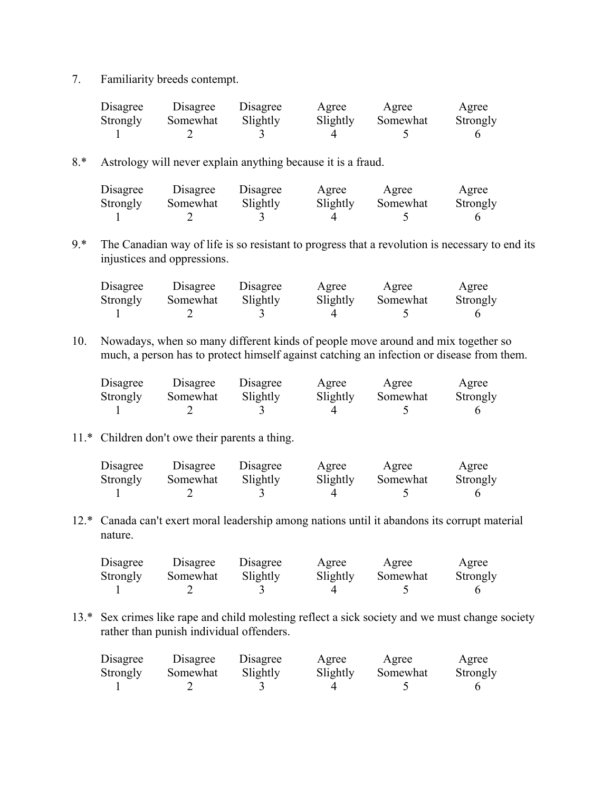7. Familiarity breeds contempt.

| Disagree | Disagree | Disagree | Agree    | Agree    | Agree    |
|----------|----------|----------|----------|----------|----------|
| Strongly | Somewhat | Slightly | Slightly | Somewhat | Strongly |
|          |          |          |          |          |          |

8.\* Astrology will never explain anything because it is a fraud.

| Disagree | Disagree | Disagree | Agree    | Agree    | Agree    |
|----------|----------|----------|----------|----------|----------|
| Strongly | Somewhat | Slightly | Slightly | Somewhat | Strongly |
|          |          |          |          |          |          |

9.\* The Canadian way of life is so resistant to progress that a revolution is necessary to end its injustices and oppressions.

| Disagree | Disagree | Disagree | Agree    | Agree    | Agree    |
|----------|----------|----------|----------|----------|----------|
| Strongly | Somewhat | Slightly | Slightly | Somewhat | Strongly |
|          |          |          |          |          |          |

10. Nowadays, when so many different kinds of people move around and mix together so much, a person has to protect himself against catching an infection or disease from them.

| Disagree | Disagree | Disagree | Agree    | Agree    | Agree    |
|----------|----------|----------|----------|----------|----------|
| Strongly | Somewhat | Slightly | Slightly | Somewhat | Strongly |
|          |          |          |          |          |          |

# 11. $*$  Children don't owe their parents a thing.

| Disagree | Disagree | Disagree | Agree    | Agree    | Agree    |
|----------|----------|----------|----------|----------|----------|
| Strongly | Somewhat | Slightly | Slightly | Somewhat | Strongly |
|          |          |          | 4        |          |          |

12.\* Canada can't exert moral leadership among nations until it abandons its corrupt material nature.

| Disagree | Disagree | Disagree | Agree    | Agree    | Agree    |
|----------|----------|----------|----------|----------|----------|
| Strongly | Somewhat | Slightly | Slightly | Somewhat | Strongly |
|          |          |          |          |          |          |

13.\* Sex crimes like rape and child molesting reflect a sick society and we must change society rather than punish individual offenders.

| Disagree | Disagree | Disagree | Agree    | Agree    | Agree    |
|----------|----------|----------|----------|----------|----------|
| Strongly | Somewhat | Slightly | Slightly | Somewhat | Strongly |
|          |          |          |          |          |          |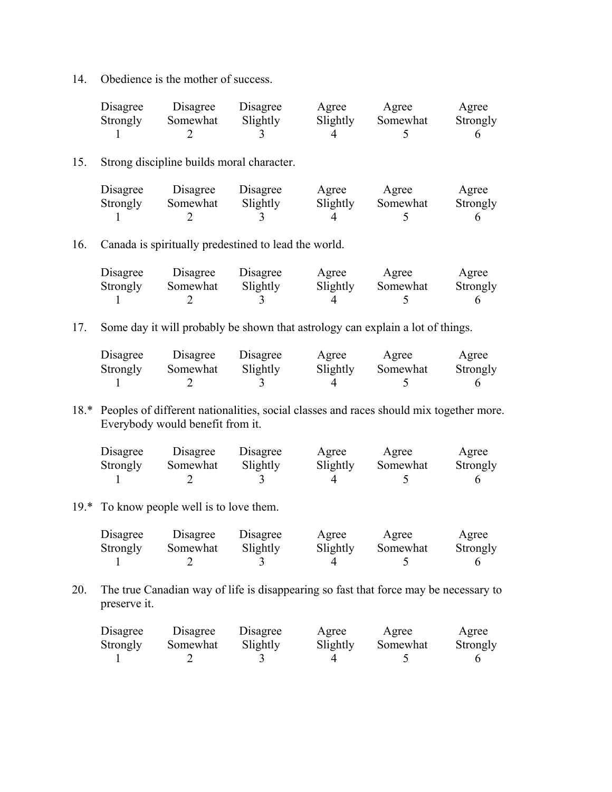14. Obedience is the mother of success.

| Disagree | Disagree | Disagree | Agree    | Agree    | Agree    |
|----------|----------|----------|----------|----------|----------|
| Strongly | Somewhat | Slightly | Slightly | Somewhat | Strongly |
|          |          |          |          |          |          |

## 15. Strong discipline builds moral character.

| Disagree | Disagree | Disagree | Agree    | Agree    | Agree    |
|----------|----------|----------|----------|----------|----------|
| Strongly | Somewhat | Slightly | Slightly | Somewhat | Strongly |
|          |          |          |          |          |          |

### 16. Canada is spiritually predestined to lead the world.

| Disagree | Disagree | Disagree | Agree    | Agree    | Agree    |
|----------|----------|----------|----------|----------|----------|
| Strongly | Somewhat | Slightly | Slightly | Somewhat | Strongly |
|          |          |          |          |          |          |

17. Some day it will probably be shown that astrology can explain a lot of things.

| Disagree | Disagree | Disagree | Agree    | Agree    | Agree    |
|----------|----------|----------|----------|----------|----------|
| Strongly | Somewhat | Slightly | Slightly | Somewhat | Strongly |
|          |          |          |          |          |          |

18.\* Peoples of different nationalities, social classes and races should mix together more. Everybody would benefit from it.

| Disagree | Disagree | Disagree | Agree    | Agree    | Agree    |
|----------|----------|----------|----------|----------|----------|
| Strongly | Somewhat | Slightly | Slightly | Somewhat | Strongly |
|          |          |          |          |          |          |

#### 19.\* To know people well is to love them.

| Disagree | Disagree | Disagree | Agree    | Agree    | Agree    |
|----------|----------|----------|----------|----------|----------|
| Strongly | Somewhat | Slightly | Slightly | Somewhat | Strongly |
|          |          |          |          |          |          |

### 20. The true Canadian way of life is disappearing so fast that force may be necessary to preserve it.

| Disagree | Disagree | Disagree | Agree    | Agree    | Agree    |
|----------|----------|----------|----------|----------|----------|
| Strongly | Somewhat | Slightly | Slightly | Somewhat | Strongly |
|          |          |          |          |          |          |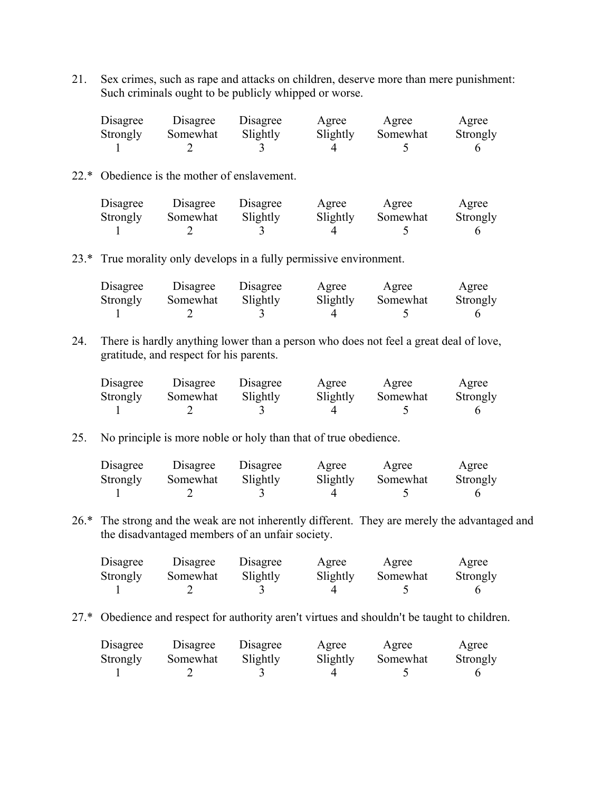21. Sex crimes, such as rape and attacks on children, deserve more than mere punishment: Such criminals ought to be publicly whipped or worse.

| Disagree | Disagree | Disagree | Agree    | Agree    | Agree    |
|----------|----------|----------|----------|----------|----------|
| Strongly | Somewhat | Slightly | Slightly | Somewhat | Strongly |
|          |          |          |          |          |          |

22.\* Obedience is the mother of enslavement.

| Disagree | Disagree | Disagree | Agree    | Agree    | Agree    |
|----------|----------|----------|----------|----------|----------|
| Strongly | Somewhat | Slightly | Slightly | Somewhat | Strongly |
|          |          |          |          |          |          |

23.\* True morality only develops in a fully permissive environment.

| Disagree | Disagree | Disagree | Agree    | Agree    | Agree    |
|----------|----------|----------|----------|----------|----------|
| Strongly | Somewhat | Slightly | Slightly | Somewhat | Strongly |
|          |          |          |          |          |          |

24. There is hardly anything lower than a person who does not feel a great deal of love, gratitude, and respect for his parents.

| Disagree | Disagree | Disagree | Agree    | Agree    | Agree    |
|----------|----------|----------|----------|----------|----------|
| Strongly | Somewhat | Slightly | Slightly | Somewhat | Strongly |
|          |          |          |          |          |          |

25. No principle is more noble or holy than that of true obedience.

| Disagree | Disagree | Disagree | Agree    | Agree    | Agree    |
|----------|----------|----------|----------|----------|----------|
| Strongly | Somewhat | Slightly | Slightly | Somewhat | Strongly |
|          |          |          |          |          |          |

26.\* The strong and the weak are not inherently different. They are merely the advantaged and the disadvantaged members of an unfair society.

| Disagree | Disagree | Disagree | Agree    | Agree    | Agree    |
|----------|----------|----------|----------|----------|----------|
| Strongly | Somewhat | Slightly | Slightly | Somewhat | Strongly |
|          |          |          |          |          |          |

27.\* Obedience and respect for authority aren't virtues and shouldn't be taught to children.

| Disagree | Disagree | Disagree | Agree    | Agree    | Agree    |
|----------|----------|----------|----------|----------|----------|
| Strongly | Somewhat | Slightly | Slightly | Somewhat | Strongly |
|          |          |          |          |          |          |